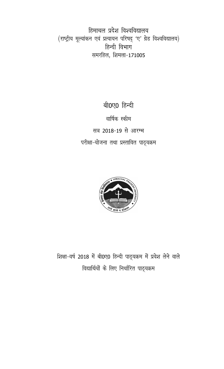हिमाचल प्रदेश विश्वविद्यालय (राष्ट्रीय मूल्यांकन एवं प्रत्यायन परिषद् 'ए' ग्रेड विश्वविद्यालय) हिन्दी विभाग समरहिल, शिमला-171005

> बी0ए0 हिन्दी वार्षिक स्कीम सत्र 2018-19 से आरम्भ परीक्षा-योजना तथा प्रस्तावित पाठ्यक्रम



शिक्षा-वर्ष 2018 में बी0ए0 हिन्दी पाठ्यक्रम में प्रवेश लेने वाले विद्यार्थियों के लिए निर्धारित पाठ्यक्रम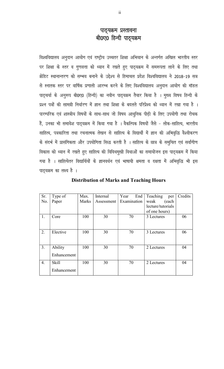## पाठ्यक्रम प्रस्तावना बी0ए0 हिन्दी पाठ्यक्रम

विश्वविद्यालय अनुदान आयोग एवं राष्ट्रीय उच्चतर शिक्षा अभियान के अन्तर्गत अखिल भारतीय स्तर पर शिक्षा के स्तर व गुणवत्ता को ध्यान में रखते हुए पाठ्यक्रम में समरूपता लाने के लिए तथा क्रेडिट स्थानान्तरण को सम्भव बनाने के उद्देश्य से हिमाचल प्रदेश विश्वविद्यालय ने 2018-19 सत्र से स्नातक स्तर पर वार्षिक प्रणाली आरम्भ करने के लिए विश्वविद्यालय अनुदान आयोग की मॉडल पाठ्चर्या के अनुरूप बी0ए0 (हिन्दी) का नवीन पाठ्यक्रम तैयार किया है । मुख्य विषय हिन्दी के प्रश्न पत्रों की सामग्री निर्धारण में ज्ञान तथा शिक्षा के बदलते परिप्रेक्ष्य को ध्यान में रखा गया है। पारम्परिक एवं शास्त्रीय विषयों के साथ-साथ जो विषय आधुनिक पीढ़ी के लिए उपयोगी तथा रोचक हैं, उनका भी समावेश पाठ्यक्रम में किया गया है । वैकल्पिक विषयों जैसे - लोक-साहित्य, भारतीय साहित्य, पत्रकारिता तथा रचनात्मक लेखन से साहित्य के विद्यार्थी में ज्ञान की अभिवृद्धि वैश्वीकरण के संदर्भ में प्रासंगिकता और उपयोगिता सिद्ध करती है । साहित्य के छात्र के समुचित एवं सर्वांगीण विकास को ध्यान में रखते हुए साहित्य की विविधमुखी विधाओं का समायोजन इस पाठ्यक्रम में किया गया है । साहित्येतर विद्यार्थियों के ज्ञानवर्धन एवं भाषायी क्षमता व दक्षता में अभिवृद्धि भी इस पाठ्यक्रम का लक्ष्य है ।

| Sr. | Type of      | Max.  | Internal   | Year<br>End | Teaching<br>per   | Credits |
|-----|--------------|-------|------------|-------------|-------------------|---------|
| No. | Paper        | Marks | Assessment | Examination | weak<br>(each     |         |
|     |              |       |            |             | lecture/tutorials |         |
|     |              |       |            |             | of one hours)     |         |
| 1.  | Core         | 100   | 30         | 70          | 3 Lectures        | 06      |
|     |              |       |            |             |                   |         |
|     |              |       |            |             |                   |         |
| 2.  | Elective     | 100   | 30         | 70          | 3 Lectures        | 06      |
|     |              |       |            |             |                   |         |
|     |              |       |            |             |                   |         |
| 3.  | Ability      | 100   | 30         | 70          | 2 Lectures        | 04      |
|     | Enhancement  |       |            |             |                   |         |
|     |              |       |            |             |                   |         |
| 4.  | <b>Skill</b> | 100   | 30         | 70          | 2 Lectures        | 04      |
|     | Enhancement  |       |            |             |                   |         |

**Distribution of Marks and Teaching Hours**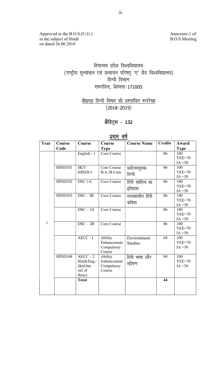Approved in the B.O.S.(U.G.) Annexure-1 of in the subject of Hindi B.O.S.Meeting on dated 26.06.2018

## हिमाचल प्रदेश विश्वविद्यालय  $(\mathrm{v}$ सूरिय मूल्यांकन एवं प्रत्यायन परिषद् 'ए' ग्रेड विश्वविद्यालय $)$ हिन्दी विभाग समरहिल, शिमला-171005

<u>बी0ए0 हिन्दी विषय की प्रस्तावित रूपरेखा</u>  $(2018 - 2019)$ 

## क्रैडिट्स - 132

## <u>प्रथम वर्ष</u>

| Year | Course         | Course                              | Course      | <b>Course Name</b> | <b>Credits</b> | Award            |
|------|----------------|-------------------------------------|-------------|--------------------|----------------|------------------|
|      | Code           |                                     | <b>Type</b> |                    |                | <b>Type</b>      |
|      |                | English - 1                         | Core Course |                    | 06             | 100              |
|      |                |                                     |             |                    |                | $YEE=70$         |
|      |                |                                     |             |                    |                | $IA = 30$        |
|      | <b>HIND101</b> | SKT/                                | Core Course | प्रयोजनमूलक        | 06             | 100              |
|      |                | HINDI-I                             | B.A./B.Com. | हिन्दी             |                | $YEE=70$         |
|      |                |                                     |             |                    |                | $IA = 30$        |
|      | <b>HIND102</b> | $DSC-1A$                            | Core Course | हिंदी साहित्य का   | 06             | 100              |
|      |                |                                     |             | इतिहास             |                | $YEE=70$         |
|      |                |                                     |             |                    |                | $IA = 30$        |
|      | <b>HIND103</b> | $DSC - IB$                          | Core Course | मध्यकालीन हिंदी    | 06             | 100              |
|      |                |                                     |             | कविता              |                | $YEE=70$         |
|      |                |                                     |             |                    |                | $IA = 30$        |
|      |                | $\overline{\text{DSC} - 2\text{A}}$ | Core Course |                    | 06             | 100              |
|      |                |                                     |             |                    |                | $YEE=70$         |
| 1    |                | $\overline{\text{DSC} - 2\text{B}}$ | Core Course |                    | 06             | $IA = 30$<br>100 |
|      |                |                                     |             |                    |                | $YEE=70$         |
|      |                |                                     |             |                    |                | $IA = 30$        |
|      |                | AECC-I                              | Ability     | Environment        | 04             | 100              |
|      |                |                                     | Enhancement | <b>Studies</b>     |                | $YEE=70$         |
|      |                |                                     | Compulsory  |                    |                | $IA = 30$        |
|      |                |                                     | Course      |                    |                |                  |
|      | <b>HIND104</b> | $AECC - 2$                          | Ability     | हिंदी भाषा और      | 04             | 100              |
|      |                | Hindi/Eng./                         | Enhancement |                    |                | $YEE=70$         |
|      |                | Skt(One                             | Compulsory  | संप्रेषण           |                | $IA = 30$        |
|      |                | out of                              | Course      |                    |                |                  |
|      |                | three)                              |             |                    |                |                  |
|      |                | <b>Total</b>                        |             |                    | 44             |                  |
|      |                |                                     |             |                    |                |                  |
|      |                |                                     |             |                    |                |                  |
|      |                |                                     |             |                    |                |                  |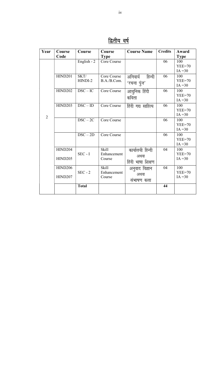| Year           | Course                           | Course                       | Course                                | <b>Course Name</b>                            | <b>Credits</b> | Award                        |
|----------------|----------------------------------|------------------------------|---------------------------------------|-----------------------------------------------|----------------|------------------------------|
|                | Code                             |                              | <b>Type</b>                           |                                               |                | <b>Type</b>                  |
|                |                                  | English - 2                  | Core Course                           |                                               | 06             | 100<br>$YEE=70$<br>$IA = 30$ |
|                | <b>HIND201</b>                   | SKT/<br>HINDI-2              | Core Course<br>B.A./B.Com.            | अनिवार्य हिन्दी<br>'रचना पुंज'                | 06             | 100<br>$YEE=70$<br>$IA = 30$ |
|                | <b>HIND202</b>                   | $DSC - IC$                   | Core Course                           | आधुनिक हिंदी<br>कविता                         | 06             | 100<br>$YEE=70$<br>$IA = 30$ |
| $\overline{2}$ | <b>HIND203</b>                   | $DSC - ID$                   | Core Course                           | हिंदी गद्य साहित्य                            | 06             | 100<br>$YEE=70$<br>$IA = 30$ |
|                |                                  | $\overline{\text{DSC} - 2C}$ | Core Course                           |                                               | 06             | 100<br>$YEE=70$<br>$IA = 30$ |
|                |                                  | $\overline{\text{DSC} - 2D}$ | Core Course                           |                                               | 06             | 100<br>$YEE=70$<br>$IA = 30$ |
|                | <b>HIND204</b><br><b>HIND205</b> | $SEC - I$                    | <b>Skill</b><br>Enhancement<br>Course | कार्यालयी हिन्दी<br>अथवा<br>हिंदी भाषा शिक्षण | 04             | 100<br>$YEE=70$<br>$IA = 30$ |
|                | <b>HIND206</b><br><b>HIND207</b> | $SEC - 2$                    | <b>Skill</b><br>Enhancement<br>Course | अनुवाद विज्ञान<br>अथवा<br>संभाषण कला          | 04             | 100<br>$YEE=70$<br>$IA = 30$ |
|                |                                  | <b>Total</b>                 |                                       |                                               | 44             |                              |

<u>द्वितीय वर्ष</u>